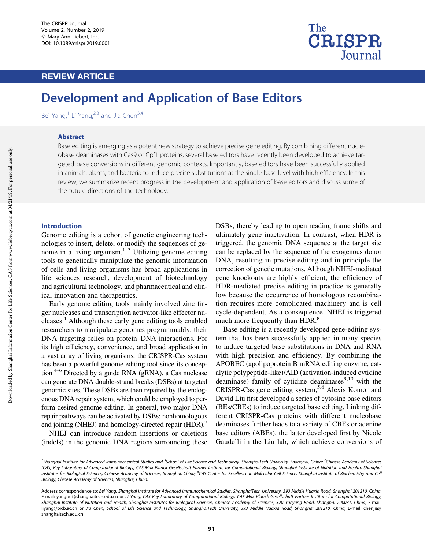# REVIEW ARTICLE



# Development and Application of Base Editors

Bei Yang, $1$  Li Yang, $2,3$  and Jia Chen $3,4$ 

#### Abstract

Base editing is emerging as a potent new strategy to achieve precise gene editing. By combining different nucleobase deaminases with Cas9 or Cpf1 proteins, several base editors have recently been developed to achieve targeted base conversions in different genomic contexts. Importantly, base editors have been successfully applied in animals, plants, and bacteria to induce precise substitutions at the single-base level with high efficiency. In this review, we summarize recent progress in the development and application of base editors and discuss some of the future directions of the technology.

#### Introduction

Genome editing is a cohort of genetic engineering technologies to insert, delete, or modify the sequences of genome in a living organism. $1-3$  Utilizing genome editing tools to genetically manipulate the genomic information of cells and living organisms has broad applications in life sciences research, development of biotechnology and agricultural technology, and pharmaceutical and clinical innovation and therapeutics.

Early genome editing tools mainly involved zinc finger nucleases and transcription activator-like effector nucleases.<sup>1</sup> Although these early gene editing tools enabled researchers to manipulate genomes programmably, their DNA targeting relies on protein–DNA interactions. For its high efficiency, convenience, and broad application in a vast array of living organisms, the CRISPR-Cas system has been a powerful genome editing tool since its conception.<sup>4–6</sup> Directed by a guide RNA (gRNA), a Cas nuclease can generate DNA double-strand breaks (DSBs) at targeted genomic sites. These DSBs are then repaired by the endogenous DNA repair system, which could be employed to perform desired genome editing. In general, two major DNA repair pathways can be activated by DSBs: nonhomologous end joining (NHEJ) and homology-directed repair (HDR).<sup>7</sup>

NHEJ can introduce random insertions or deletions (indels) in the genomic DNA regions surrounding these DSBs, thereby leading to open reading frame shifts and ultimately gene inactivation. In contrast, when HDR is triggered, the genomic DNA sequence at the target site can be replaced by the sequence of the exogenous donor DNA, resulting in precise editing and in principle the correction of genetic mutations. Although NHEJ-mediated gene knockouts are highly efficient, the efficiency of HDR-mediated precise editing in practice is generally low because the occurrence of homologous recombination requires more complicated machinery and is cell cycle-dependent. As a consequence, NHEJ is triggered much more frequently than HDR.<sup>8</sup>

Base editing is a recently developed gene-editing system that has been successfully applied in many species to induce targeted base substitutions in DNA and RNA with high precision and efficiency. By combining the APOBEC (apolipoprotein B mRNA editing enzyme, catalytic polypeptide-like)/AID (activation-induced cytidine deaminase) family of cytidine deaminases $9,10$  with the CRISPR-Cas gene editing system,5,6 Alexis Komor and David Liu first developed a series of cytosine base editors (BEs/CBEs) to induce targeted base editing. Linking different CRISPR-Cas proteins with different nucleobase deaminases further leads to a variety of CBEs or adenine base editors (ABEs), the latter developed first by Nicole Gaudelli in the Liu lab, which achieve conversions of

<sup>&</sup>lt;sup>1</sup>Shanghai Institute for Advanced Immunochemical Studies and <sup>3</sup>School of Life Science and Technology, ShanghaiTech University, Shanghai, China; <sup>2</sup>Chinese Academy of Sciences (CAS) Key Laboratory of Computational Biology, CAS-Max Planck Gesellschaft Partner Institute for Computational Biology, Shanghai Institute of Nutrition and Health, Shanghai Institutes for Biological Sciences, Chinese Academy of Sciences, Shanghai, China; <sup>4</sup>CAS Center for Excellence in Molecular Cell Science, Shanghai Institute of Biochemistry and Cell Biology, Chinese Academy of Sciences, Shanghai, China.

Address correspondence to: Bei Yang, Shanghai Institute for Advanced Immunochemical Studies, ShanghaiTech University, 393 Middle Huaxia Road, Shanghai 201210, China, E-mail: yangbei@shanghaitech.edu.cn or Li Yang, CAS Key Laboratory of Computational Biology, CAS-Max Planck Gesellschaft Partner Institute for Computational Biology, Shanghai Institute of Nutrition and Health, Shanghai Institutes for Biological Sciences, Chinese Academy of Sciences, 320 Yueyang Road, Shanghai 200031, China, E-mail: liyang@picb.ac.cn or Jia Chen, School of Life Science and Technology, ShanghaiTech University, 393 Middle Huaxia Road, Shanghai 201210, China, E-mail: chenjia@ shanghaitech.edu.cn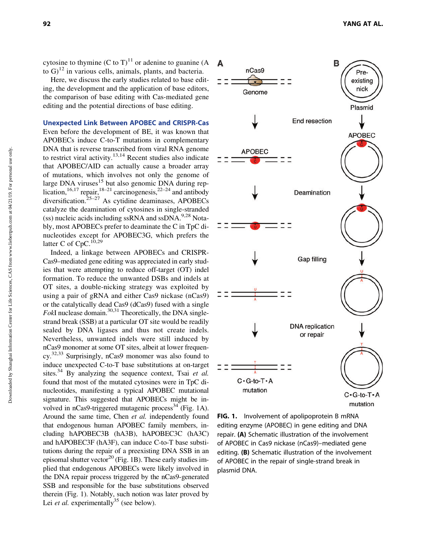cytosine to thymine  $(C \text{ to } T)^{11}$  or adenine to guanine (A to  $G^{12}$  in various cells, animals, plants, and bacteria.

Here, we discuss the early studies related to base editing, the development and the application of base editors, the comparison of base editing with Cas-mediated gene editing and the potential directions of base editing.

## Unexpected Link Between APOBEC and CRISPR-Cas

Even before the development of BE, it was known that APOBECs induce C-to-T mutations in complementary DNA that is reverse transcribed from viral RNA genome to restrict viral activity.<sup>13,14</sup> Recent studies also indicate that APOBEC/AID can actually cause a broader array of mutations, which involves not only the genome of large DNA viruses<sup>15</sup> but also genomic DNA during replication,  $16,17$  repair,  $18-21$  carcinogenesis,  $22-24$  and antibody diversification. $25-27$  As cytidine deaminases, APOBECs catalyze the deamination of cytosines in single-stranded (ss) nucleic acids including ssRNA and ssDNA. $9.28$  Notably, most APOBECs prefer to deaminate the C in TpC dinucleotides except for APOBEC3G, which prefers the latter C of CpC.<sup>10,29</sup>

Indeed, a linkage between APOBECs and CRISPR-Cas9–mediated gene editing was appreciated in early studies that were attempting to reduce off-target (OT) indel formation. To reduce the unwanted DSBs and indels at OT sites, a double-nicking strategy was exploited by using a pair of gRNA and either Cas9 nickase (nCas9) or the catalytically dead Cas9 (dCas9) fused with a single *FokI* nuclease domain.<sup>30,31</sup> Theoretically, the DNA singlestrand break (SSB) at a particular OT site would be readily sealed by DNA ligases and thus not create indels. Nevertheless, unwanted indels were still induced by nCas9 monomer at some OT sites, albeit at lower frequency.32,33 Surprisingly, nCas9 monomer was also found to induce unexpected C-to-T base substitutions at on-target sites.<sup>34</sup> By analyzing the sequence context, Tsai *et al.* found that most of the mutated cytosines were in TpC dinucleotides, manifesting a typical APOBEC mutational signature. This suggested that APOBECs might be involved in  $nCas9$ -triggered mutagenic process<sup>34</sup> (Fig. 1A). Around the same time, Chen *et al.* independently found that endogenous human APOBEC family members, including hAPOBEC3B (hA3B), hAPOBEC3C (hA3C) and hAPOBEC3F (hA3F), can induce C-to-T base substitutions during the repair of a preexisting DNA SSB in an episomal shutter vector<sup>20</sup> (Fig. 1B). These early studies implied that endogenous APOBECs were likely involved in the DNA repair process triggered by the nCas9-generated SSB and responsible for the base substitutions observed therein (Fig. 1). Notably, such notion was later proved by Lei *et al.* experimentally<sup>35</sup> (see below).



FIG. 1. Involvement of apolipoprotein B mRNA editing enzyme (APOBEC) in gene editing and DNA repair. (A) Schematic illustration of the involvement of APOBEC in Cas9 nickase (nCas9)–mediated gene editing. (B) Schematic illustration of the involvement of APOBEC in the repair of single-strand break in plasmid DNA.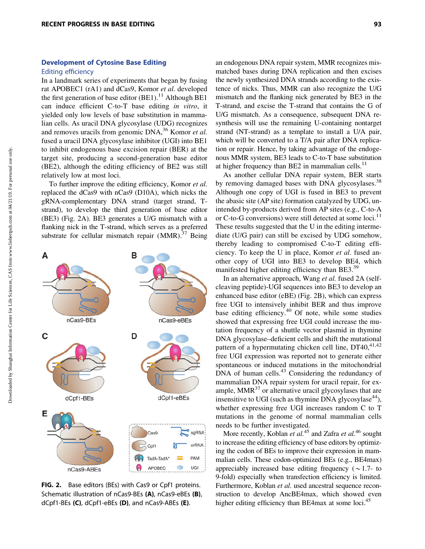### Development of Cytosine Base Editing

#### Editing efficiency

In a landmark series of experiments that began by fusing rat APOBEC1 (rA1) and dCas9, Komor *et al.* developed the first generation of base editor  $(BE1)$ .<sup>11</sup> Although BE1 can induce efficient C-to-T base editing *in vitro*, it yielded only low levels of base substitution in mammalian cells. As uracil DNA glycosylase (UDG) recognizes and removes uracils from genomic DNA,<sup>36</sup> Komor *et al.* fused a uracil DNA glycosylase inhibitor (UGI) into BE1 to inhibit endogenous base excision repair (BER) at the target site, producing a second-generation base editor (BE2), although the editing efficiency of BE2 was still relatively low at most loci.

To further improve the editing efficiency, Komor *et al.* replaced the dCas9 with nCas9 (D10A), which nicks the gRNA-complementary DNA strand (target strand, Tstrand), to develop the third generation of base editor (BE3) (Fig. 2A). BE3 generates a U/G mismatch with a flanking nick in the T-strand, which serves as a preferred substrate for cellular mismatch repair  $(MMR)$ .<sup>37</sup> Being



FIG. 2. Base editors (BEs) with Cas9 or Cpf1 proteins. Schematic illustration of nCas9-BEs (A), nCas9-eBEs (B), dCpf1-BEs (C), dCpf1-eBEs (D), and nCas9-ABEs (E).

an endogenous DNA repair system, MMR recognizes mismatched bases during DNA replication and then excises the newly synthesized DNA strands according to the existence of nicks. Thus, MMR can also recognize the U/G mismatch and the flanking nick generated by BE3 in the T-strand, and excise the T-strand that contains the G of U/G mismatch. As a consequence, subsequent DNA resynthesis will use the remaining U-containing nontarget strand (NT-strand) as a template to install a U/A pair, which will be converted to a T/A pair after DNA replication or repair. Hence, by taking advantage of the endogenous MMR system, BE3 leads to C-to-T base substitution at higher frequency than BE2 in mammalian cells. $<sup>11</sup>$ </sup>

As another cellular DNA repair system, BER starts by removing damaged bases with DNA glycosylases.<sup>38</sup> Although one copy of UGI is fused in BE3 to prevent the abasic site (AP site) formation catalyzed by UDG, unintended by-products derived from AP sites (e.g., C-to-A or C-to-G conversions) were still detected at some loci.<sup>11</sup> These results suggested that the U in the editing intermediate (U/G pair) can still be excised by UDG somehow, thereby leading to compromised C-to-T editing efficiency. To keep the U in place, Komor *et al.* fused another copy of UGI into BE3 to develop BE4, which manifested higher editing efficiency than BE3.<sup>39</sup>

In an alternative approach, Wang *et al.* fused 2A (selfcleaving peptide)-UGI sequences into BE3 to develop an enhanced base editor (eBE) (Fig. 2B), which can express free UGI to intensively inhibit BER and thus improve base editing efficiency. $40$  Of note, while some studies showed that expressing free UGI could increase the mutation frequency of a shuttle vector plasmid in thymine DNA glycosylase–deficient cells and shift the mutational pattern of a hypermutating chicken cell line, DT40,<sup>41,42</sup> free UGI expression was reported not to generate either spontaneous or induced mutations in the mitochondrial DNA of human cells.<sup>43</sup> Considering the redundancy of mammalian DNA repair system for uracil repair, for example,  $MMR<sup>37</sup>$  or alternative uracil glycosylases that are insensitive to UGI (such as thymine DNA glycosylase<sup>44</sup>), whether expressing free UGI increases random C to T mutations in the genome of normal mammalian cells needs to be further investigated.

More recently, Koblan *et al.*<sup>45</sup> and Zafra *et al.*<sup>46</sup> sought to increase the editing efficiency of base editors by optimizing the codon of BEs to improve their expression in mammalian cells. These codon-optimized BEs (e.g., BE4max) appreciably increased base editing frequency ( $\sim$ 1.7- to 9-fold) especially when transfection efficiency is limited. Furthermore, Koblan *et al.* used ancestral sequence reconstruction to develop AncBE4max, which showed even higher editing efficiency than BE4max at some loci.<sup>45</sup>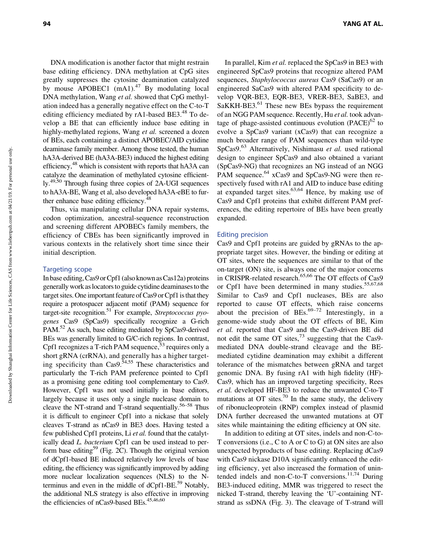DNA modification is another factor that might restrain base editing efficiency. DNA methylation at CpG sites greatly suppresses the cytosine deamination catalyzed by mouse APOBEC1  $(mA1)<sup>47</sup>$  By modulating local DNA methylation, Wang *et al.* showed that CpG methylation indeed has a generally negative effect on the C-to-T editing efficiency mediated by  $rA1$ -based BE3.<sup>48</sup> To develop a BE that can efficiently induce base editing in highly-methylated regions, Wang *et al.* screened a dozen of BEs, each containing a distinct APOBEC/AID cytidine deaminase family member. Among those tested, the human hA3A-derived BE (hA3A-BE3) induced the highest editing efficiency, $48$  which is consistent with reports that hA3A can catalyze the deamination of methylated cytosine efficiently.49,50 Through fusing three copies of 2A-UGI sequences to hA3A-BE, Wang et al, also developed hA3A-eBE to further enhance base editing efficiency.<sup>48</sup>

Thus, via manipulating cellular DNA repair systems, codon optimization, ancestral-sequence reconstruction and screening different APOBECs family members, the efficiency of CBEs has been significantly improved in various contexts in the relatively short time since their initial description.

#### Targeting scope

In base editing, Cas9 or Cpf1 (also known as Cas12a) proteins generally work as locators to guide cytidine deaminases to the target sites. One important feature of Cas9 or Cpf1 is that they require a protospacer adjacent motif (PAM) sequence for target-site recognition.51 For example, *Streptococcus pyogenes* Cas9 (SpCas9) specifically recognize a G-rich PAM.52 As such, base editing mediated by SpCas9-derived BEs was generally limited to G/C-rich regions. In contrast, Cpf1 recognizes a T-rich PAM sequence,  $5<sup>3</sup>$  requires only a short gRNA (crRNA), and generally has a higher targeting specificity than  $\text{Cas}9.54,55$  These characteristics and particularly the T-rich PAM preference pointed to Cpf1 as a promising gene editing tool complementary to Cas9. However, Cpf1 was not used initially in base editors, largely because it uses only a single nuclease domain to cleave the NT-strand and T-strand sequentially.<sup>56–58</sup> Thus it is difficult to engineer Cpf1 into a nickase that solely cleaves T-strand as nCas9 in BE3 does. Having tested a few published Cpf1 proteins, Li *et al.* found that the catalytically dead *L. bacterium* Cpf1 can be used instead to perform base editing<sup>59</sup> (Fig. 2C). Though the original version of dCpf1-based BE induced relatively low levels of base editing, the efficiency was significantly improved by adding more nuclear localization sequences (NLS) to the Nterminus and even in the middle of  $dCpf1-BE<sup>59</sup>$  Notably, the additional NLS strategy is also effective in improving the efficiencies of nCas9-based BEs. $45,46,60$ 

In parallel, Kim *et al.* replaced the SpCas9 in BE3 with engineered SpCas9 proteins that recognize altered PAM sequences, *Staphylococcus aureus* Cas9 (SaCas9) or an engineered SaCas9 with altered PAM specificity to develop VQR-BE3, EQR-BE3, VRER-BE3, SaBE3, and SaKKH-BE3.<sup>61</sup> These new BEs bypass the requirement of an NGG PAM sequence. Recently, Hu *et al.* took advantage of phage-assisted continuous evolution  $(PACE)^{62}$  to evolve a SpCas9 variant (xCas9) that can recognize a much broader range of PAM sequences than wild-type SpCas9.63 Alternatively, Nishimasu *et al.* used rational design to engineer SpCas9 and also obtained a variant (SpCas9-NG) that recognizes an NG instead of an NGG PAM sequence.<sup>64</sup> xCas9 and SpCas9-NG were then respectively fused with rA1 and AID to induce base editing at expanded target sites.  $63,64$  Hence, by making use of Cas9 and Cpf1 proteins that exhibit different PAM preferences, the editing repertoire of BEs have been greatly expanded.

#### Editing precision

Cas9 and Cpf1 proteins are guided by gRNAs to the appropriate target sites. However, the binding or editing at OT sites, where the sequences are similar to that of the on-target (ON) site, is always one of the major concerns in CRISPR-related research.<sup>65,66</sup> The OT effects of Cas9 or Cpf1 have been determined in many studies.<sup>55,67,68</sup> Similar to Cas9 and Cpf1 nucleases, BEs are also reported to cause OT effects, which raise concerns about the precision of BEs.<sup>69–72</sup> Interestingly, in a genome-wide study about the OT effects of BE, Kim *et al.* reported that Cas9 and the Cas9-driven BE did not edit the same OT sites, $73$  suggesting that the Cas9mediated DNA double-strand cleavage and the BEmediated cytidine deamination may exhibit a different tolerance of the mismatches between gRNA and target genomic DNA. By fusing rA1 with high fidelity (HF)- Cas9, which has an improved targeting specificity, Rees *et al.* developed HF-BE3 to reduce the unwanted C-to-T mutations at OT sites.<sup>70</sup> In the same study, the delivery of ribonucleoprotein (RNP) complex instead of plasmid DNA further decreased the unwanted mutations at OT sites while maintaining the editing efficiency at ON site.

In addition to editing at OT sites, indels and non-C-to-T conversions (i.e., C to A or C to G) at ON sites are also unexpected byproducts of base editing. Replacing dCas9 with Cas9 nickase D10A significantly enhanced the editing efficiency, yet also increased the formation of unintended indels and non-C-to-T conversions. $11,74$  During BE3-induced editing, MMR was triggered to resect the nicked T-strand, thereby leaving the 'U'-containing NTstrand as ssDNA (Fig. 3). The cleavage of T-strand will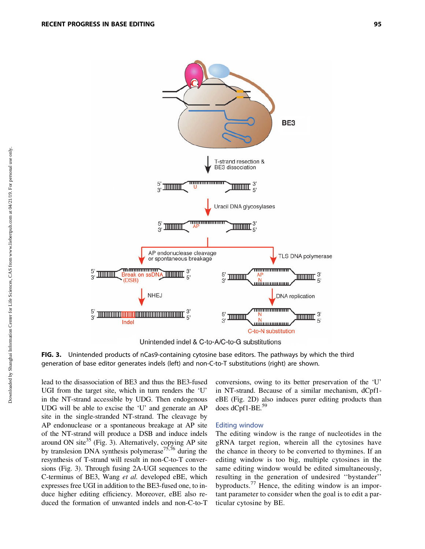

Unintended indel & C-to-A/C-to-G substitutions

FIG. 3. Unintended products of nCas9-containing cytosine base editors. The pathways by which the third generation of base editor generates indels (left) and non-C-to-T substitutions (right) are shown.

lead to the disassociation of BE3 and thus the BE3-fused UGI from the target site, which in turn renders the 'U' in the NT-strand accessible by UDG. Then endogenous UDG will be able to excise the 'U' and generate an AP site in the single-stranded NT-strand. The cleavage by AP endonuclease or a spontaneous breakage at AP site of the NT-strand will produce a DSB and induce indels around ON site $35$  (Fig. 3). Alternatively, copying AP site by translesion DNA synthesis polymerase<sup>75,76</sup> during the resynthesis of T-strand will result in non-C-to-T conversions (Fig. 3). Through fusing 2A-UGI sequences to the C-terminus of BE3, Wang *et al.* developed eBE, which expresses free UGI in addition to the BE3-fused one, to induce higher editing efficiency. Moreover, eBE also reduced the formation of unwanted indels and non-C-to-T

conversions, owing to its better preservation of the 'U' in NT-strand. Because of a similar mechanism, dCpf1 eBE (Fig. 2D) also induces purer editing products than does  $dCpf1-BE.<sup>59</sup>$ 

#### Editing window

The editing window is the range of nucleotides in the gRNA target region, wherein all the cytosines have the chance in theory to be converted to thymines. If an editing window is too big, multiple cytosines in the same editing window would be edited simultaneously, resulting in the generation of undesired ''bystander'' byproducts.<sup>77</sup> Hence, the editing window is an important parameter to consider when the goal is to edit a particular cytosine by BE.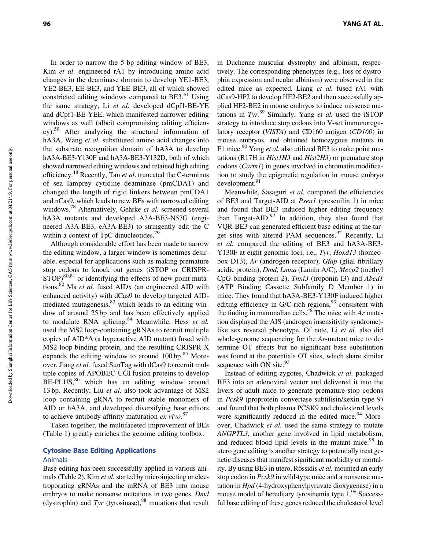In order to narrow the 5-bp editing window of BE3, Kim *et al.* engineered rA1 by introducing amino acid changes in the deaminase domain to develop YE1-BE3, YE2-BE3, EE-BE3, and YEE-BE3, all of which showed constricted editing windows compared to BE3.<sup>61</sup> Using the same strategy, Li *et al.* developed dCpf1-BE-YE and dCpf1-BE-YEE, which manifested narrower editing windows as well (albeit compromising editing efficiency).59 After analyzing the structural information of hA3A, Wang *et al.* substituted amino acid changes into the substrate recognition domain of hA3A to develop hA3A-BE3-Y130F and hA3A-BE3-Y132D, both of which showed narrowed editing windows and retained high editing efficiency.48 Recently, Tan *et al*. truncated the C-terminus of sea lamprey cytidine deaminase (pmCDA1) and changed the length of rigid linkers between pmCDA1 and nCas9, which leads to new BEs with narrowed editing windows.78 Alternatively, Gehrke *et al.* screened several

within a context of TpC dinucleotides.<sup>79</sup> Although considerable effort has been made to narrow the editing window, a larger window is sometimes desirable, especial for applications such as making premature stop codons to knock out genes (iSTOP or CRISPR- $STOP$ <sup>80,81</sup> or identifying the effects of new point mutations.82 Ma *et al.* fused AIDx (an engineered AID with enhanced activity) with dCas9 to develop targeted AIDmediated mutagenesis,<sup>83</sup> which leads to an editing window of around 25 bp and has been effectively applied to modulate RNA splicing.<sup>84</sup> Meanwhile, Hess et al. used the MS2 loop-containing gRNAs to recruit multiple copies of  $AID^*\Delta$  (a hyperactive AID mutant) fused with MS2-loop binding protein, and the resulting CRISPR-X expands the editing window to around  $100 \text{ bp}^{85}$  Moreover, Jiang *et al.* fused SunTag with dCas9 to recruit multiple copies of APOBEC-UGI fusion proteins to develop  $BE-PLUS$ ,<sup>86</sup> which has an editing window around 13 bp. Recently, Liu *et al.* also took advantage of MS2 loop–containing gRNA to recruit stable monomers of AID or hA3A, and developed diversifying base editors to achieve antibody affinity maturation *ex vivo.*<sup>87</sup>

hA3A mutants and developed A3A-BE3-N57G (engineered A3A-BE3, eA3A-BE3) to stringently edit the C

Taken together, the multifaceted improvement of BEs (Table 1) greatly enriches the genome editing toolbox.

# Cytosine Base Editing Applications

#### Animals

Base editing has been successfully applied in various animals (Table 2). Kim *et al.* started by microinjecting or electroporating gRNAs and the mRNA of BE3 into mouse embryos to make nonsense mutations in two genes, *Dmd* (dystrophin) and  $Tyr$  (tyrosinase),  $88$  mutations that result

96 YANG AT AL.

in Duchenne muscular dystrophy and albinism, respectively. The corresponding phenotypes (e.g., loss of dystrophin expression and ocular albinism) were observed in the edited mice as expected. Liang *et al.* fused rA1 with dCas9-HF2 to develop HF2-BE2 and then successfully applied HF2-BE2 in mouse embryos to induce missense mutations in *Tyr.*<sup>89</sup> Similarly, Yang *et al.* used the iSTOP strategy to introduce stop codons into V-set immunoregulatory receptor (*VISTA*) and CD160 antigen (*CD160*) in mouse embryos, and obtained homozygous mutants in F1 mice.<sup>90</sup> Yang *et al.* also utilized BE3 to make point mutations (R17H in *Hist1H3* and *Hist2H3*) or premature stop codons (*Carm1*) in genes involved in chromatin modification to study the epigenetic regulation in mouse embryo development.91

Meanwhile, Sasaguri *et al.* compared the efficiencies of BE3 and Target-AID at *Psen1* (presenilin 1) in mice and found that BE3 induced higher editing frequency than Target-AID. $^{92}$  In addition, they also found that VQR-BE3 can generated efficient base editing at the target sites with altered PAM sequences. $92$  Recently, Li *et al.* compared the editing of BE3 and hA3A-BE3- Y130F at eight genomic loci, i.e., *Tyr*, *Hoxd13* (homeobox D13), *Ar* (androgen receptor), *Gfap* (glial fibrillary acidic protein), *Dmd*, *Lmna* (Lamin A/C), *Mecp2* (methyl CpG binding protein 2), *Tnni3* (troponin I3) and *Abcd1* (ATP Binding Cassette Subfamily D Member 1) in mice. They found that hA3A-BE3-Y130F induced higher editing efficiency in G/C-rich regions,  $93$  consistent with the finding in mammalian cells.48 The mice with *Ar* mutation displayed the AIS (androgen insensitivity syndrome) like sex reversal phenotype. Of note, Li *et al.* also did whole-genome sequencing for the *Ar*-mutant mice to determine OT effects but no significant base substitution was found at the potentials OT sites, which share similar sequence with ON site.<sup>93</sup>

Instead of editing zygotes, Chadwick *et al.* packaged BE3 into an adenoviral vector and delivered it into the livers of adult mice to generate premature stop codons in *Pcsk9* (proprotein convertase subtilisin/kexin type 9) and found that both plasma PCSK9 and cholesterol levels were significantly reduced in the edited mice. $94$  Moreover, Chadwick *et al.* used the same strategy to mutate *ANGPTL3*, another gene involved in lipid metabolism, and reduced blood lipid levels in the mutant mice.<sup>95</sup> In utero gene editing is another strategy to potentially treat genetic diseases that manifest significant morbidity or mortality. By using BE3 in utero, Rossidis *et al.* mounted an early stop codon in *Pcsk9* in wild-type mice and a nonsense mutation in *Hpd* (4-hydroxyphenylpyruvate dioxygenase) in a mouse model of hereditary tyrosinemia type 1.<sup>96</sup> Successful base editing of these genes reduced the cholesterol level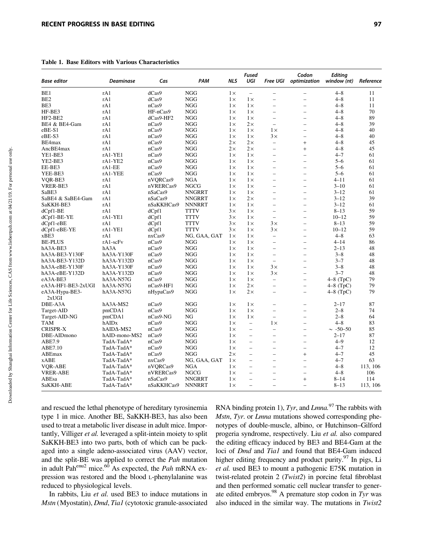Table 1. Base Editors with Various Characteristics

| <b>Base editor</b>      | <b>Deaminase</b>   | Cas                   | PAM           | <b>NLS</b> | Fused<br>UGI             | <b>Free UGI</b>          | Codon<br>optimization    | <b>Editing</b><br>window (nt) | Reference |
|-------------------------|--------------------|-----------------------|---------------|------------|--------------------------|--------------------------|--------------------------|-------------------------------|-----------|
| BE1                     | rA1                | dCas9                 | <b>NGG</b>    | $1\times$  | $\overline{\phantom{0}}$ | $\overline{\phantom{0}}$ |                          | $4 - 8$                       | 11        |
| BE <sub>2</sub>         | rA1                | dCas9                 | <b>NGG</b>    | $1\times$  | $1\times$                | $\overline{\phantom{0}}$ | $\overline{\phantom{a}}$ | $4 - 8$                       | 11        |
| BE3                     | rA1                | nCas9                 | <b>NGG</b>    | $1\times$  | $1\times$                | $\overline{a}$           |                          | $4 - 8$                       | 11        |
| HF-BE3                  | rA1                | HF-nCas9              | <b>NGG</b>    | $1\times$  | $1\times$                | $\overline{\phantom{0}}$ | $\overline{\phantom{a}}$ | $4 - 8$                       | 70        |
| $HF2-BE2$               | rA1                | dCas9-HF2             | <b>NGG</b>    | $1\times$  | $1\times$                | $\overline{\phantom{0}}$ | $\overline{\phantom{a}}$ | $4 - 8$                       | 89        |
| BE4 & BE4-Gam           | rA1                | nCas9                 | NGG           | $1\times$  | $2\times$                | $\overline{\phantom{0}}$ | $\overline{\phantom{0}}$ | $4 - 8$                       | 39        |
| eBE-S1                  | rA1                | nCas9                 | <b>NGG</b>    | $1\times$  | $1\times$                | $1\times$                | $\overline{\phantom{a}}$ | $4 - 8$                       | 40        |
| eBE-S3                  | rA1                | nCas9                 | <b>NGG</b>    | $1\times$  | $1\times$                | $3\times$                |                          | $4 - 8$                       | 40        |
| BE4max                  | rA1                | nCas9                 | <b>NGG</b>    | $2\times$  | $2\times$                | $\overline{\phantom{0}}$ | $^{+}$                   | $4 - 8$                       | 45        |
| AncBE4max               | rA1                | nCas9                 | NGG           | $2\times$  | $2\times$                | $\overline{\phantom{a}}$ | $^{+}$                   | $4 - 8$                       | 45        |
| YE1-BE3                 | rA1-YE1            | nCas9                 | NGG           | $1\times$  | $1\times$                | $\overline{\phantom{0}}$ | $\overline{\phantom{a}}$ | $4 - 7$                       | 61        |
| YE2-BE3                 | rA1-YE2            | nCas9                 | <b>NGG</b>    | $1\times$  | $1\times$                | $\overline{\phantom{0}}$ | $\overline{\phantom{a}}$ | $5 - 6$                       | 61        |
| EE-BE3                  | $rA1-EE$           | nCas9                 | <b>NGG</b>    | $1\times$  | $1\times$                | $\overline{\phantom{0}}$ | $\overline{\phantom{a}}$ | $5 - 6$                       | 61        |
| YEE-BE3                 | rA1-YEE            | nCas9                 | NGG           | $1\times$  | $1\times$                | $\overline{\phantom{a}}$ | $\overline{\phantom{0}}$ | $5 - 6$                       | 61        |
|                         |                    |                       | <b>NGA</b>    | $1\times$  | $1\times$                | $\overline{\phantom{0}}$ |                          | $4 - 11$                      | 61        |
| VQR-BE3<br>VRER-BE3     | rA1<br>rA1         | nVQRCas9<br>nVRERCas9 | NGCG          | $1\times$  | $1\times$                | $\overline{\phantom{0}}$ | $\overline{\phantom{a}}$ | $3 - 10$                      | 61        |
| SaBE3                   | rA1                |                       | <b>NNGRRT</b> |            |                          | $\equiv$                 | $\overline{\phantom{a}}$ | $3 - 12$                      | 61        |
|                         |                    | nSaCas9               |               | $1\times$  | $1\times$                |                          |                          | $3 - 12$                      | 39        |
| SaBE4 & SaBE4-Gam       | rA1                | nSaCas9               | <b>NNGRRT</b> | $1\times$  | $2\times$                | $\overline{\phantom{0}}$ | $\overline{\phantom{0}}$ |                               |           |
| SaKKH-BE3               | rA1                | nSaKKHCas9            | <b>NNNRRT</b> | $1\times$  | $1\times$                | $\overline{\phantom{0}}$ | $\overline{a}$           | $3 - 12$                      | 61        |
| $dCpf1-BE$              | rA1                | dCpf1                 | <b>TTTV</b>   | $3\times$  | $1\times$                | $\overline{\phantom{0}}$ | $\overline{\phantom{0}}$ | $8 - 13$                      | 59        |
| dCpf1-BE-YE             | $rA1-YE1$          | dCpf1                 | <b>TTTV</b>   | $3\times$  | $1\times$                | $\overline{\phantom{0}}$ | $\overline{\phantom{0}}$ | $10 - 12$                     | 59        |
| $dCpf1-eBE$             | rA1                | dCpf1                 | <b>TTTV</b>   | $3\times$  | $1\times$                | $3\times$                | $\overline{\phantom{0}}$ | $8 - 13$                      | 59        |
| dCpf1-eBE-YE            | $rA1-YE1$          | dCpf1                 | <b>TTTV</b>   | 3x         | $1\times$                | $3\times$                | $\overline{\phantom{0}}$ | $10 - 12$                     | 59        |
| xBE3                    | rA1                | nxCas9                | NG, GAA, GAT  | $1\times$  | $1\times$                | $\overline{\phantom{0}}$ |                          | $4 - 8$                       | 63        |
| <b>BE-PLUS</b>          | $rA1-scFv$         | nCas9                 | NGG           | $1\times$  | $1\times$                | $\overline{\phantom{0}}$ | $\overline{\phantom{0}}$ | $4 - 14$                      | 86        |
| hA3A-BE3                | hA3A               | nCas9                 | NGG           | $1\times$  | $1\times$                | $\overline{\phantom{0}}$ | $\overline{\phantom{0}}$ | $2 - 13$                      | 48        |
| hA3A-BE3-Y130F          | hA3A-Y130F         | nCas9                 | NGG           | $1\times$  | $1\times$                | $\overline{\phantom{0}}$ | $\overline{\phantom{0}}$ | $3 - 8$                       | 48        |
| hA3A-BE3-Y132D          | hA3A-Y132D         | nCas9                 | NGG           | $1\times$  | $1\times$                | $\overline{\phantom{0}}$ | $\overline{\phantom{0}}$ | $3 - 7$                       | 48        |
| hA3A-eBE-Y130F          | $hA3A-Y130F$       | nCas9                 | <b>NGG</b>    | $1\times$  | $1\times$                | $3\times$                | $\overline{\phantom{0}}$ | $3 - 8$                       | 48        |
| hA3A-eBE-Y132D          | hA3A-Y132D         | nCas9                 | <b>NGG</b>    | $1\times$  | $1\times$                | $3 \times$               | $\overline{\phantom{0}}$ | $3 - 7$                       | 48        |
| eA3A-BE3                | hA3A-N57G          | nCas9                 | <b>NGG</b>    | $1\times$  | $1\times$                | $\overline{\phantom{0}}$ |                          | $4-8$ (TpC)                   | 79        |
| eA3A-HF1-BE3-2xUGI      | hA3A-N57G          | nCas9-HF1             | <b>NGG</b>    | $1\times$  | $2\times$                | $\overline{\phantom{0}}$ | $\overline{\phantom{a}}$ | $4-8$ (TpC)                   | 79        |
| eA3A-Hypa-BE3-<br>2xUGI | hA3A-N57G          | nHypaCas9             | <b>NGG</b>    | $1\times$  | $2\times$                | $\overline{a}$           | $\overline{\phantom{a}}$ | $4-8$ (TpC)                   | 79        |
| DBE-A3A                 | hA3A-MS2           | nCas9                 | <b>NGG</b>    | $1\times$  | $1\times$                | $\overline{\phantom{0}}$ | $\overline{a}$           | $2 - 17$                      | 87        |
| Target-AID              | pmCDA1             | nCas9                 | <b>NGG</b>    | $1\times$  | $1\times$                | $\overline{\phantom{0}}$ | $\overline{\phantom{a}}$ | $2 - 8$                       | 74        |
| Target-AID-NG           | pmCDA1             | nCas9-NG              | NG            | $1\times$  | $1\times$                | $\overline{\phantom{0}}$ | $\overline{\phantom{0}}$ | $2 - 8$                       | 64        |
| TAM                     | hAIDx              | nCas9                 | <b>NGG</b>    | $1\times$  | $\overline{\phantom{0}}$ | $1\times$                | $\overline{a}$           | $4 - 8$                       | 83        |
| <b>CRISPR-X</b>         | hAID $\Delta$ -MS2 | nCas9                 | NGG           | $1\times$  | $\qquad \qquad -$        | $\qquad \qquad -$        | $\overline{\phantom{0}}$ | $\sim$ -50-50                 | 85        |
| DBE-AIDmono             | hAID-mono-MS2      | nCas9                 | NGG           | $1\times$  | $\overline{a}$           | $\overline{a}$           | $\overline{\phantom{a}}$ | $2 - 17$                      | 87        |
| ABE7.9                  | TadA-TadA*         | nCas9                 | NGG           | $1\times$  | $\overline{a}$           | $\overline{a}$           | $\overline{\phantom{0}}$ | $4 - 9$                       | 12        |
| ABE7.10                 | TadA-TadA*         | nCas9                 | <b>NGG</b>    | $1\times$  | $\overline{\phantom{0}}$ | $\overline{\phantom{0}}$ | $\overline{\phantom{a}}$ | $4 - 7$                       | 12        |
| ABEmax                  | TadA-TadA*         | nCas9                 | <b>NGG</b>    | $2\times$  | $\overline{\phantom{0}}$ | $\overline{\phantom{0}}$ | $^{+}$                   | $4 - 7$                       | 45        |
| xABE                    | TadA-TadA*         | nxCas9                | NG, GAA, GAT  | $1\times$  | $\overline{\phantom{0}}$ | $\overline{\phantom{a}}$ | $\overline{\phantom{0}}$ | $4 - 7$                       | 63        |
| VQR-ABE                 | TadA-TadA*         | nVQRCas9              | <b>NGA</b>    | $1\times$  | $\overline{\phantom{0}}$ | $\overline{\phantom{0}}$ | $\overline{a}$           | $4 - 8$                       | 113, 106  |
| <b>VRER-ABE</b>         | TadA-TadA*         | nVRERCas9             | <b>NGCG</b>   | $1\times$  | $\overline{\phantom{0}}$ | $\overline{\phantom{0}}$ | $\overline{\phantom{0}}$ | $4 - 8$                       | 106       |
| ABEsa                   | TadA-TadA*         | nSaCas9               | NNGRRT        | $1\times$  | $\overline{a}$           | $\overline{\phantom{0}}$ | $^{+}$                   | $8 - 14$                      | 114       |
| SaKKH-ABE               | TadA-TadA*         | nSaKKHCas9            | <b>NNNRRT</b> | $1\times$  | $\overline{\phantom{0}}$ | $\overline{a}$           | $\overline{\phantom{a}}$ | $8 - 13$                      | 113, 106  |
|                         |                    |                       |               |            |                          |                          |                          |                               |           |

and rescued the lethal phenotype of hereditary tyrosinemia type 1 in mice. Another BE, SaKKH-BE3, has also been used to treat a metabolic liver disease in adult mice. Importantly, Villiger *et al.* leveraged a split-intein moiety to split SaKKH-BE3 into two parts, both of which can be packaged into a single adeno-associated virus (AAV) vector, and the split-BE was applied to correct the *Pah* mutation in adult Pahenu2 mice.60 As expected, the *Pah* mRNA expression was restored and the blood L-phenylalanine was reduced to physiological levels.

In rabbits, Liu *et al.* used BE3 to induce mutations in *Mstn* (Myostatin), *Dmd*, *Tia1* (cytotoxic granule-associated

RNA binding protein 1), *Tyr*, and *Lmna.*<sup>97</sup> The rabbits with *Mstn*, *Tyr*. or *Lmna* mutations showed corresponding phenotypes of double-muscle, albino, or Hutchinson–Gilford progeria syndrome, respectively. Liu *et al.* also compared the editing efficacy induced by BE3 and BE4-Gam at the loci of *Dmd* and *Tia1* and found that BE4-Gam induced higher editing frequency and product purity.<sup>97</sup> In pigs, Li *et al.* used BE3 to mount a pathogenic E75K mutation in twist-related protein 2 (*Twist2*) in porcine fetal fibroblast and then performed somatic cell nuclear transfer to generate edited embryos.98 A premature stop codon in *Tyr* was also induced in the similar way. The mutations in *Twist2*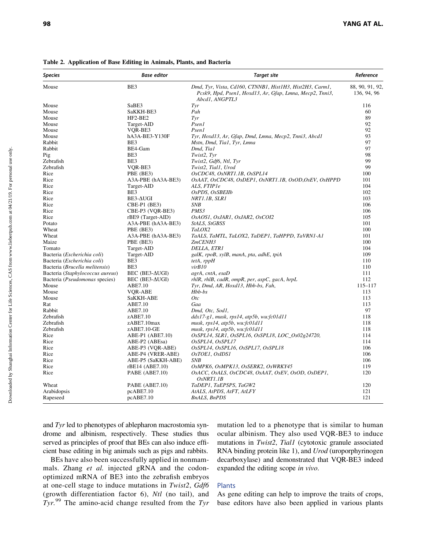| <b>Species</b>                       | Base editor              | <b>Target site</b>                                                                                                                     | Reference                      |
|--------------------------------------|--------------------------|----------------------------------------------------------------------------------------------------------------------------------------|--------------------------------|
| Mouse                                | BE3                      | Dmd, Tyr, Vista, Cd160, CTNNB1, Hist1H3, Hist2H3, Carm1,<br>Pcsk9, Hpd, Psen1, Hoxd13, Ar, Gfap, Lmna, Mecp2, Tnni3,<br>Abcd1, ANGPTL3 | 88, 90, 91, 92,<br>136, 94, 96 |
| Mouse                                | SaBE3                    | Tyr                                                                                                                                    | 116                            |
| Mouse                                | SaKKH-BE3                | Pah                                                                                                                                    | 60                             |
| Mouse                                | HF2-BE2                  | Tvr                                                                                                                                    | 89                             |
| Mouse                                | Target-AID               | P <sub>sen1</sub>                                                                                                                      | 92                             |
| Mouse                                | VQR-BE3                  | Psen1                                                                                                                                  | 92                             |
| Mouse                                | hA3A-BE3-Y130F           | Tyr, Hoxd13, Ar, Gfap, Dmd, Lmna, Mecp2, Tnni3, Abcd1                                                                                  | 93                             |
| Rabbit                               | BE3                      | Mstn, Dmd, Tia1, Tyr, Lmna                                                                                                             | 97                             |
| Rabbit                               | BE4-Gam                  | Dmd, Tia1                                                                                                                              | 97                             |
| Pig                                  | BE3                      | Twist2, Tyr                                                                                                                            | 98                             |
| Zebrafish                            | BE3                      | Twist2, Gdf6, Ntl, Tyr                                                                                                                 | 99                             |
| Zebrafish                            | VQR-BE3                  | Twist2, Tial1, Urod                                                                                                                    | 99                             |
| Rice                                 | PBE (BE3)                | OsCDC48, OsNRT1.1B, OsSPL14                                                                                                            | 100                            |
| Rice                                 | A3A-PBE (hA3A-BE3)       | OsAAT, OsCDC48, OsDEP1, OsNRT1.1B, OsOD,OsEV, OsHPPD                                                                                   | 101                            |
| Rice                                 | Target-AID               | ALS, FTIP1e                                                                                                                            | 104                            |
| Rice                                 | BE3                      | OsPDS, OsSBEIIb                                                                                                                        | 102                            |
| Rice                                 | BE3-AUGI                 | NRT1.1B, SLR1                                                                                                                          | 103                            |
| Rice                                 | CBE-P1 (BE3)             | <b>SNB</b>                                                                                                                             | 106                            |
| Rice                                 | CBE-P3 (VOR-BE3)         | PMS3                                                                                                                                   | 106                            |
| Rice                                 | rBE9 (Target-AID)        | OsAOSI, OsJARI, OsJAR2, OsCOI2                                                                                                         | 105                            |
| Potato                               | A3A-PBE (hA3A-BE3)       | StALS, StGBSS                                                                                                                          | 101                            |
| Wheat                                | PBE (BE3)                | TaLOX2                                                                                                                                 | 100                            |
| Wheat                                | A3A-PBE (hA3A-BE3)       | TaALS, TaMTL, TaLOX2, TaDEP1, TaHPPD, TaVRN1-A1                                                                                        | 101                            |
| Maize                                | PBE (BE3)                | ZmCENH3                                                                                                                                | 100                            |
| Tomato                               | Target-AID               | DELLA, ETR1                                                                                                                            | 104                            |
| Bacteria ( <i>Escherichia coli</i> ) | Target-AID               | galK, rpoB, xylB, manA, pta, adhE, tpiA                                                                                                | 109                            |
| Bacteria ( <i>Escherichia coli</i> ) | BE3                      | $tetA$ , $rppH$                                                                                                                        | 110                            |
| Bacteria (Brucella melitensis)       | BE3                      | virB10                                                                                                                                 | 110                            |
| Bacteria (Staphylococcus aureus)     | $BEC$ ( $BE3$ - $AUGI$ ) | agrA, entA, esaD                                                                                                                       | 111                            |
| Bacteria (Pseudomonas species)       | BEC (BE3- $\Delta UGI$ ) | rhlR, rhlB, cadR, ompR, per, aspC, gacA, hrpL                                                                                          | 112                            |
| Mouse                                | ABE7.10                  | Tyr, Dmd, AR, Hoxd13, Hbb-bs, Fah,                                                                                                     | $115 - 117$                    |
| Mouse                                | VQR-ABE                  | $Hbb-bs$                                                                                                                               | 113                            |
| Mouse                                | SaKKH-ABE                | Otc                                                                                                                                    | 113                            |
| Rat                                  | ABE7.10                  | Gaa                                                                                                                                    | 113                            |
| Rabbit                               | ABE7.10                  | Dmd, Otc, Sod1,                                                                                                                        | 97                             |
| Zebrafish                            | $z$ ABE $7.10$           | $ddx17-g1$ , musk, rps14, atp5b, wu: $f \in \{01d11$                                                                                   | 118                            |
| Zebrafish                            | zABE7.10max              | musk, rps14, atp5b, wu:fc01d11                                                                                                         | 118                            |
| Zebrafish                            | $z$ ABE7.10-GE           | musk, rps14, atp5b, wu:fc01d11                                                                                                         | 118                            |
| Rice                                 | ABE-P1 (ABE7.10)         | OsSPL14, SLR1, OsSPL16, OsSPL18, LOC_Os02g24720,                                                                                       | 114                            |
| Rice                                 | ABE-P2 (ABEsa)           | OsSPL14, OsSPL17                                                                                                                       | 114                            |
| Rice                                 | ABE-P3 (VQR-ABE)         | OsSPL14, OsSPL16, OsSPL17, OsSPL18                                                                                                     | 106                            |
| Rice                                 | ABE-P4 (VRER-ABE)        | OsTOE1, OsIDS1                                                                                                                         | 106                            |
| Rice                                 | ABE-P5 (SaKKH-ABE)       | SNB                                                                                                                                    | 106                            |
| Rice                                 | rBE14 (ABE7.10)          | OsMPK6, OsMPK13, OsSERK2, OsWRKY45                                                                                                     | 119                            |
| Rice                                 | PABE (ABE7.10)           | OSACC, OSALS, OsCDC48, OsAAT, OsEV, OsOD, OsDEP1,                                                                                      | 120                            |
|                                      |                          | OsNRT1.1B                                                                                                                              |                                |
| Wheat                                | PABE (ABE7.10)           | TaDEP1, TaEPSPS, TaGW2                                                                                                                 | 120                            |
| Arabidopsis                          | pcABE7.10                | AtALS, AtPDS, AtFT, AtLFY                                                                                                              | 121                            |
| Rapeseed                             | pcABE7.10                | <b>BnALS, BnPDS</b>                                                                                                                    | 121                            |
|                                      |                          |                                                                                                                                        |                                |

Table 2. Application of Base Editing in Animals, Plants, and Bacteria

and *Tyr* led to phenotypes of ablepharon macrostomia syndrome and albinism, respectively. These studies thus served as principles of proof that BEs can also induce efficient base editing in big animals such as pigs and rabbits.

BEs have also been successfully applied in nonmammals. Zhang *et al.* injected gRNA and the codonoptimized mRNA of BE3 into the zebrafish embryos at one-cell stage to induce mutations in *Twist2*, *Gdf6* (growth differentiation factor 6), *Ntl* (no tail), and *Tyr.*<sup>99</sup> The amino-acid change resulted from the *Tyr* mutation led to a phenotype that is similar to human ocular albinism. They also used VQR-BE3 to induce mutations in *Twist2*, *Tial1* (cytotoxic granule associated RNA binding protein like 1), and *Urod* (uroporphyrinogen decarboxylase) and demonstrated that VQR-BE3 indeed expanded the editing scope *in vivo*.

#### Plants

As gene editing can help to improve the traits of crops, base editors have also been applied in various plants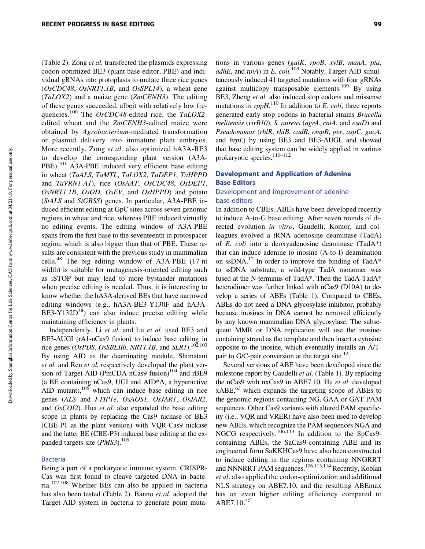(Table 2). Zong *et al.* transfected the plasmids expressing codon-optimized BE3 (plant base editor, PBE) and individual gRNAs into protoplasts to mutate three rice genes (*OsCDC48*, *OsNRT1.1B*, and *OsSPL14*), a wheat gene (*TaLOX2*) and a maize gene (*ZmCENH3*). The editing of these genes succeeded, albeit with relatively low frequencies.<sup>100</sup> The *OsCDC48*-edited rice, the *TaLOX2* edited wheat and the *ZmCENH3*-edited maize were obtained by *Agrobacterium*-mediated transformation or plasmid delivery into immature plant embryos. More recently, Zong *et al.* also optimized hA3A-BE3 to develop the corresponding plant version (A3A-PBE).<sup>101</sup> A3A-PBE induced very efficient base editing in wheat (*TaALS*, *TaMTL*, *TaLOX2*, *TaDEP1*, *TaHPPD* and *TaVRN1-A1*), rice (*OsAAT*, *OsCDC48*, *OsDEP1*, *OsNRT1.1B*, *OsOD*, *OsEV*, and *OsHPPD*) and potato (*StALS* and *StGBSS*) genes. In particular, A3A-PBE induced efficient editing at GpC sites across seven genomic regions in wheat and rice, whereas PBE induced virtually no editing events. The editing window of A3A-PBE spans from the first base to the seventeenth in protospacer region, which is also bigger than that of PBE. These results are consistent with the previous study in mammalian cells.48 The big editing window of A3A-PBE (17-nt width) is suitable for mutagenesis-oriented editing such as iSTOP but may lead to more bystander mutations when precise editing is needed. Thus, it is interesting to know whether the hA3A-derived BEs that have narrowed editing windows (e.g., hA3A-BE3-Y130F and hA3A- $BE3-Y132D^{48}$ ) can also induce precise editing while maintaining efficiency in plants.

Independently, Li *et al.* and Lu *et al.* used BE3 and BE3- $\Delta UGI$  (rA1-nCas9 fusion) to induce base editing in rice genes (*OsPDS*, *OsSBEIIb*, *NRT1.1B*, and *SLR1*).102,103 By using AID as the deaminating module, Shimatani *et al.* and Ren *et al.* respectively developed the plant version of Target-AID (PmCDA-nCas9 fusion) $104$  and rBE9 (a BE containing nCas9, UGI and  $AID^*\Delta$ , a hyperactive AID mutant), $105$  which can induce base editing in rice genes (*ALS* and *FTIP1e*, *OsAOS1*, *OsJAR1*, *OsJAR2*, and *OsCOI2*). Hua *et al.* also expanded the base editing scope in plants by replacing the Cas9 nickase of BE3 (CBE-P1 as the plant version) with VQR-Cas9 nickase and the latter BE (CBE-P3) induced base editing at the expanded targets site (*PMS3*).106

#### Bacteria

Being a part of a prokaryotic immune system, CRISPR-Cas was first found to cleave targeted DNA in bacteria.107,108 Whether BEs can also be applied in bacteria has also been tested (Table 2). Banno *et al.* adopted the Target-AID system in bacteria to generate point mutations in various genes (*galK*, *rpoB*, *xylB*, *manA*, *pta*, *adhE*, and *tpiA*) in *E. coli.*<sup>109</sup> Notably, Target-AID simultaneously induced 41 targeted mutations with four gRNAs against multicopy transposable elements.<sup>109</sup> By using BE3, Zheng *et al.* also induced stop codons and missense mutations in *rppH.*<sup>110</sup> In addition to *E. coli*, three reports generated early stop codons in bacterial strains *Brucella melitensis* (*virB10*), *S. aureus* (*agrA*, *cntA*, and *esaD*) and *Pseudomonas* (*rhlR*, *rhlB*, *cadR*, *ompR*, *per*, *aspC*, *gacA*, and *hrpL*) by using BE3 and BE3- $\Delta UGI$ , and showed that base editing system can be widely applied in various prokaryotic species.<sup>110–112</sup>

#### Development and Application of Adenine Base Editors

#### Development and improvement of adenine base editors

In addition to CBEs, ABEs have been developed recently to induce A-to-G base editing. After seven rounds of directed evolution *in vitro*, Gaudelli, Komor, and colleagues evolved a tRNA adenosine deaminase (TadA) of *E. coli* into a deoxyadenosine deaminase (TadA\*) that can induce adenine to inosine (A-to-I) deamination on ssDNA.<sup>12</sup> In order to improve the binding of TadA\* to ssDNA substrate, a wild-type TadA monomer was fused at the N-terminus of TadA\*. Then the TadA-TadA\* heterodimer was further linked with nCas9 (D10A) to develop a series of ABEs (Table 1). Compared to CBEs, ABEs do not need a DNA glycosylase inhibitor, probably because inosines in DNA cannot be removed efficiently by any known mammalian DNA glycosylase. The subsequent MMR or DNA replication will use the inosinecontaining strand as the template and then insert a cytosine opposite to the inosine, which eventually installs an A/Tpair to G/C-pair conversion at the target site.<sup>12</sup>

Several versions of ABE have been developed since the milestone report by Gaudelli *et al.* (Table 1). By replacing the nCas9 with nxCas9 in ABE7.10, Hu *et al*. developed  $xABE<sub>1</sub><sup>63</sup>$  which expands the targeting scope of ABEs to the genomic regions containing NG, GAA or GAT PAM sequences. Other Cas9 variants with altered PAM specificity (i.e., VQR and VRER) have also been used to develop new ABEs, which recognize the PAM sequences NGA and NGCG respectively.<sup>106,113</sup> In addition to the SpCas9containing ABEs, the SaCas9-containing ABE and its engineered form SaKKHCas9 have also been constructed to induce editing in the regions containing NNGRRT and NNNRRT PAM sequences.<sup>106,113,114</sup> Recently, Koblan *et al*. also applied the codon-optimization and additional NLS strategy on ABE7.10, and the resulting ABEmax has an even higher editing efficiency compared to ABE7.10.<sup>45</sup>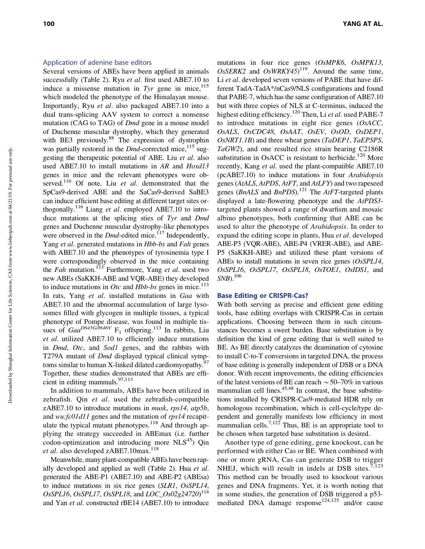#### Application of adenine base editors

Several versions of ABEs have been applied in animals successfully (Table 2). Ryu *et al*. first used ABE7.10 to induce a missense mutation in  $Tyr$  gene in mice,  $^{115}$ which modeled the phenotype of the Himalayan mouse. Importantly, Ryu *et al*. also packaged ABE7.10 into a dual trans-splicing AAV system to correct a nonsense mutation (CAG to TAG) of *Dmd* gene in a mouse model of Duchenne muscular dystrophy, which they generated with BE3 previously.<sup>88</sup> The expression of dystrophin was partially restored in the *Dmd*-corrected mice,<sup>115</sup> suggesting the therapeutic potential of ABE. Liu *et al*. also used ABE7.10 to install mutations in *AR* and *Hoxd13* genes in mice and the relevant phenotypes were observed.116 Of note, Liu *et al*. demonstrated that the SpCas9-derived ABE and the SaCas9-derived SaBE3 can induce efficient base editing at different target sites orthogonally.116 Liang *et al*. employed ABE7.10 to introduce mutations at the splicing sties of *Tyr* and *Dmd* genes and Duchenne muscular dystrophy-like phenotypes were observed in the *Dmd*-edited mice.<sup>117</sup> Independently, Yang *et al*. generated mutations in *Hbb-bs* and *Fah* genes with ABE7.10 and the phenotypes of tyrosinemia type I were correspondingly observed in the mice containing the *Fah* mutation.113 Furthermore, Yang *et al*. used two new ABEs (SaKKH-ABE and VQR-ABE) they developed to induce mutations in *Otc* and *Hbb-bs* genes in mice.<sup>113</sup> In rats, Yang *et al*. installed mutations in *Gaa* with ABE7.10 and the abnormal accumulation of large lysosomes filled with glycogen in multiple tissues, a typical phenotype of Pompe disease, was found in multiple tissues of *Gaa*<sup>D645G/I646V</sup> F<sub>1</sub> offspring.<sup>113</sup> In rabbits, Liu *et al*. utilized ABE7.10 to efficiently induce mutations in *Dmd*, *Otc*, and *Sod1* genes, and the rabbits with T279A mutant of *Dmd* displayed typical clinical symptoms similar to human X-linked dilated cardiomyopathy.<sup>97</sup> Together, these studies demonstrated that ABEs are efficient in editing mammals. $97,113$ 

In addition to mammals, ABEs have been utilized in zebrafish. Qin *et al*. used the zebrafish-compatible zABE7.10 to introduce mutations in *musk*, *rps14*, *atp5b*, and *wu:fc01d11* genes and the mutation of *rps14* recapitulate the typical mutant phenotypes.<sup>118</sup> And through applying the strategy succeeded in ABEmax (i.e. further  $codon-optimization$  and introducing more NLS $<sup>45</sup>$ ) Qin</sup> *et al.* also developed zABE7.10max.<sup>118</sup>

Meanwhile, many plant-compatible ABEs have been rapidly developed and applied as well (Table 2). Hua *et al*. generated the ABE-P1 (ABE7.10) and ABE-P2 (ABEsa) to induce mutations in six rice genes (*SLR1*, *OsSPL14*, *OsSPL16*, *OsSPL17*, *OsSPL18*, and *LOC\_Os02g24720*) 114 and Yan *et al*. constructed rBE14 (ABE7.10) to introduce mutations in four rice genes (*OsMPK6*, *OsMPK13*,  $OsSERK2$  and  $OsWRKY45)^{119}$ . Around the same time, Li *et al*. developed seven versions of PABE that have different TadA-TadA\*/nCas9/NLS configurations and found that PABE-7, which has the same configuration of ABE7.10 but with three copies of NLS at C-terminus, induced the highest editing efficiency.120 Then, Li *et al*. used PABE-7 to introduce mutations in eight rice genes (*OsACC*, *OsALS*, *OsCDC48*, *OsAAT*, *OsEV*, *OsOD*, *OsDEP1*, *OsNRT1.1B*) and three wheat genes (*TaDEP1*, *TaEPSPS*, *TaGW2*), and one resulted rice strain bearing C2186R substitution in OsACC is resistant to herbicide.<sup>120</sup> More recently, Kang *et al*. used the plant-compatible ABE7.10 (pcABE7.10) to induce mutations in four *Arabidopsis* genes (*AtALS*, *AtPDS*, *AtFT*, and *AtLFY*) and two rapeseed genes (*BnALS* and *BnPDS*).121 The *AtFT*-targeted plants displayed a late-flowering phenotype and the *AtPDS3* targeted plants showed a range of dwarfism and mosaic albino phenotypes, both confirming that ABE can be used to alter the phenotype of *Arabidopsis*. In order to expand the editing scope in plants, Hua *et al*. developed ABE-P3 (VQR-ABE), ABE-P4 (VRER-ABE), and ABE-P5 (SaKKH-ABE) and utilized these plant versions of ABEs to install mutations in seven rice genes (*OsSPL14*, *OsSPL16*, *OsSPL17*, *OsSPL18*, *OsTOE1*, *OsIDS1*, and *SNB*).106

#### Base Editing or CRISPR-Cas?

With both serving as precise and efficient gene editing tools, base editing overlaps with CRISPR-Cas in certain applications. Choosing between them in such circumstances becomes a sweet burden. Base substitution is by definition the kind of gene editing that is well suited to BE. As BE directly catalyzes the deamination of cytosine to install C-to-T conversions in targeted DNA, the process of base editing is generally independent of DSB or a DNA donor. With recent improvements, the editing efficiencies of the latest versions of BE can reach  $\sim$  50–70% in various mammalian cell lines.<sup>45,48</sup> In contrast, the base substitutions installed by CRISPR-Cas9-mediated HDR rely on homologous recombination, which is cell-cycle/type dependent and generally manifests low efficiency in most mammalian cells.<sup>7,122</sup> Thus, BE is an appropriate tool to be chosen when targeted base substitution is desired.

Another type of gene editing, gene knockout, can be performed with either Cas or BE. When combined with one or more gRNA, Cas can generate DSB to trigger NHEJ, which will result in indels at DSB sites.<sup>7,123</sup> This method can be broadly used to knockout various genes and DNA fragments. Yet, it is worth noting that in some studies, the generation of DSB triggered a p53 mediated DNA damage response<sup>124,125</sup> and/or cause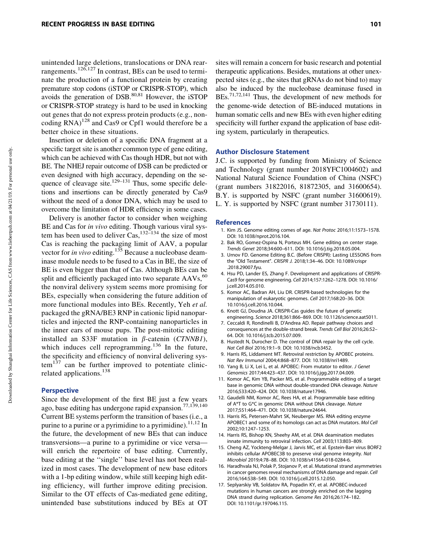unintended large deletions, translocations or DNA rearrangements.126,127 In contrast, BEs can be used to terminate the production of a functional protein by creating premature stop codons (iSTOP or CRISPR-STOP), which avoids the generation of  $DSB$ <sup>80,81</sup> However, the  $iSTOP$ or CRISPR-STOP strategy is hard to be used in knocking out genes that do not express protein products (e.g., noncoding  $RNA$ <sup>128</sup> and Cas9 or Cpf1 would therefore be a better choice in these situations.

Insertion or deletion of a specific DNA fragment at a specific target site is another common type of gene editing, which can be achieved with Cas though HDR, but not with BE. The NHEJ repair outcome of DSB can be predicted or even designed with high accuracy, depending on the sequence of cleavage site.<sup>129–131</sup> Thus, some specific deletions and insertions can be directly generated by Cas9 without the need of a donor DNA, which may be used to overcome the limitation of HDR efficiency in some cases.

Delivery is another factor to consider when weighing BE and Cas for *in vivo* editing. Though various viral system has been used to deliver  $\text{Cas.}^{132-134}$  the size of most Cas is reaching the packaging limit of AAV, a popular vector for *in vivo* editing.<sup>135</sup> Because a nucleobase deaminase module needs to be fused to a Cas in BE, the size of BE is even bigger than that of Cas. Although BEs can be split and efficiently packaged into two separate  $AAVs<sub>60</sub>$ the nonviral delivery system seems more promising for BEs, especially when considering the future addition of more functional modules into BEs. Recently, Yeh *et al.* packaged the gRNA/BE3 RNP in cationic lipid nanoparticles and injected the RNP-containing nanoparticles in the inner ears of mouse pups. The post-mitotic editing installed an S33F mutation in  $\beta$ -catenin (*CTNNB1*), which induces cell reprogramming.<sup>136</sup> In the future, the specificity and efficiency of nonviral delivering sys $tem<sup>137</sup>$  can be further improved to potentiate clinicrelated applications.<sup>138</sup>

#### **Perspective**

Since the development of the first BE just a few years ago, base editing has undergone rapid expansion.77,139,140 Current BE systems perform the transition of bases (i.e., a purine to a purine or a pyrimidine to a pyrimidine).  $11,12$  In the future, the development of new BEs that can induce transversions—a purine to a pyrimidine or vice versa will enrich the repertoire of base editing. Currently, base editing at the ''single'' base level has not been realized in most cases. The development of new base editors with a 1-bp editing window, while still keeping high editing efficiency, will further improve editing precision. Similar to the OT effects of Cas-mediated gene editing, unintended base substitutions induced by BEs at OT

sites will remain a concern for basic research and potential therapeutic applications. Besides, mutations at other unexpected sites (e.g., the sites that gRNAs do not bind to) may also be induced by the nucleobase deaminase fused in BEs.71,72,141 Thus, the development of new methods for the genome-wide detection of BE-induced mutations in human somatic cells and new BEs with even higher editing specificity will further expand the application of base editing system, particularly in therapeutics.

#### Author Disclosure Statement

J.C. is supported by funding from Ministry of Science and Technology (grant number 2018YFC1004602) and National Natural Science Foundation of China (NSFC) (grant numbers 31822016, 81872305, and 31600654). B.Y. is supported by NSFC (grant number 31600619). L. Y. is supported by NSFC (grant number 31730111).

#### References

- 1. Kim JS. Genome editing comes of age. Nat Protoc 2016;11:1573–1578. DOI: 10.1038/nprot.2016.104.
- 2. Bak RO, Gomez-Ospina N, Porteus MH. Gene editing on center stage. Trends Genet 2018;34:600–611. DOI: 10.1016/j.tig.2018.05.004.
- 3. Urnov FD. Genome Editing B.C. (Before CRISPR): Lasting LESSONS from the ''Old Testament''. CRISPR J. 2018;1:34–46. DOI: 10.1089/crispr .2018.29007.fyu.
- 4. Hsu PD, Lander ES, Zhang F. Development and applications of CRISPR-Cas9 for genome engineering. Cell 2014;157:1262–1278. DOI: 10.1016/ j.cell.2014.05.010.
- 5. Komor AC, Badran AH, Liu DR. CRISPR-based technologies for the manipulation of eukaryotic genomes. Cell 2017;168:20–36. DOI: 10.1016/j.cell.2016.10.044.
- 6. Knott GJ, Doudna JA. CRISPR-Cas guides the future of genetic engineering. Science 2018;361:866–869. DOI: 10.1126/science.aat5011.
- 7. Ceccaldi R, Rondinelli B, D'Andrea AD. Repair pathway choices and consequences at the double-strand break. Trends Cell Biol 2016;26:52– 64. DOI: 10.1016/j.tcb.2015.07.009.
- 8. Hustedt N, Durocher D. The control of DNA repair by the cell cycle. Nat Cell Biol 2016;19:1–9. DOI: 10.1038/ncb3452.
- 9. Harris RS, Liddament MT. Retroviral restriction by APOBEC proteins. Nat Rev Immunol 2004;4:868–877. DOI: 10.1038/nri1489.
- 10. Yang B, Li X, Lei L, et al. APOBEC: From mutator to editor. J Genet Genomics 2017;44:423–437. DOI: 10.1016/j.jgg.2017.04.009.
- 11. Komor AC, Kim YB, Packer MS, et al. Programmable editing of a target base in genomic DNA without double-stranded DNA cleavage. Nature 2016;533:420–424. DOI: 10.1038/nature17946.
- 12. Gaudelli NM, Komor AC, Rees HA, et al. Programmable base editing of A\*T to G\*C in genomic DNA without DNA cleavage. Nature 2017;551:464–471. DOI: 10.1038/nature24644.
- 13. Harris RS, Petersen-Mahrt SK, Neuberger MS. RNA editing enzyme APOBEC1 and some of its homologs can act as DNA mutators. Mol Cell 2002;10:1247–1253.
- 14. Harris RS, Bishop KN, Sheehy AM, et al. DNA deamination mediates innate immunity to retroviral infection. Cell 2003;113:803–809.
- 15. Cheng AZ, Yockteng-Melgar J, Jarvis MC, et al. Epstein-Barr virus BORF2 inhibits cellular APOBEC3B to preserve viral genome integrity. Nat Microbiol 2019;4:78–88. DOI: 10.1038/s41564-018-0284-6.
- 16. Haradhvala NJ, Polak P, Stojanov P, et al. Mutational strand asymmetries in cancer genomes reveal mechanisms of DNA damage and repair. Cell 2016;164:538–549. DOI: 10.1016/j.cell.2015.12.050.
- 17. Seplyarskiy VB, Soldatov RA, Popadin KY, et al. APOBEC-induced mutations in human cancers are strongly enriched on the lagging DNA strand during replication. Genome Res 2016;26:174–182. DOI: 10.1101/gr.197046.115.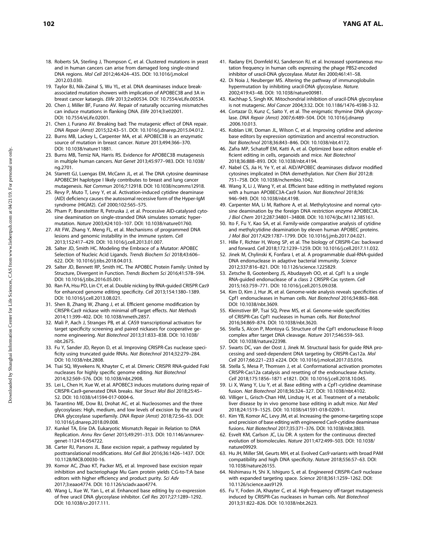- 18. Roberts SA, Sterling J, Thompson C, et al. Clustered mutations in yeast and in human cancers can arise from damaged long single-strand DNA regions. Mol Cell 2012;46:424–435. DOI: 10.1016/j.molcel .2012.03.030.
- 19. Taylor BJ, Nik-Zainal S, Wu YL, et al. DNA deaminases induce breakassociated mutation showers with implication of APOBEC3B and 3A in breast cancer kataegis. Elife 2013;2:e00534. DOI: 10.7554/eLife.00534.
- 20. Chen J, Miller BF, Furano AV. Repair of naturally occurring mismatches can induce mutations in flanking DNA. Elife 2014;3:e02001. DOI: 10.7554/eLife.02001.
- 21. Chen J, Furano AV. Breaking bad: The mutagenic effect of DNA repair. DNA Repair (Amst) 2015;32:43–51. DOI: 10.1016/j.dnarep.2015.04.012.
- 22. Burns MB, Lackey L, Carpenter MA, et al. APOBEC3B is an enzymatic source of mutation in breast cancer. Nature 2013;494:366–370. DOI: 10.1038/nature11881.
- 23. Burns MB, Temiz NA, Harris RS. Evidence for APOBEC3B mutagenesis in multiple human cancers. Nat Genet 2013;45:977–983. DOI: 10.1038/ ng.2701.
- 24. Starrett GJ, Luengas EM, McCann JL, et al. The DNA cytosine deaminase APOBEC3H haplotype I likely contributes to breast and lung cancer mutagenesis. Nat Commun 2016;7:12918. DOI: 10.1038/ncomms12918.
- 25. Revy P, Muto T, Levy Y, et al. Activation-induced cytidine deaminase (AID) deficiency causes the autosomal recessive form of the Hyper-IgM syndrome (HIGM2). Cell 2000;102:565–575.
- 26. Pham P, Bransteitter R, Petruska J, et al. Processive AID-catalysed cytosine deamination on single-stranded DNA simulates somatic hypermutation. Nature 2003;424:103–107. DOI: 10.1038/nature01760.
- 27. Alt FW, Zhang Y, Meng FL, et al. Mechanisms of programmed DNA lesions and genomic instability in the immune system. Cell 2013;152:417–429. DOI: 10.1016/j.cell.2013.01.007.
- 28. Salter JD, Smith HC. Modeling the Embrace of a Mutator: APOBEC Selection of Nucleic Acid Ligands. Trends Biochem Sci 2018;43:606– 622. DOI: 10.1016/j.tibs.2018.04.013.
- 29. Salter JD, Bennett RP, Smith HC. The APOBEC Protein Family: United by Structure, Divergent in Function. Trends Biochem Sci 2016;41:578–594. DOI: 10.1016/j.tibs.2016.05.001.
- 30. Ran FA, Hsu PD, Lin CY, et al. Double nicking by RNA-guided CRISPR Cas9 for enhanced genome editing specificity. Cell 2013;154:1380–1389. DOI: 10.1016/j.cell.2013.08.021.
- 31. Shen B, Zhang W, Zhang J, et al. Efficient genome modification by CRISPR-Cas9 nickase with minimal off-target effects. Nat Methods 2014;11:399–402. DOI: 10.1038/nmeth.2857.
- 32. Mali P, Aach J, Stranges PB, et al. CAS9 transcriptional activators for target specificity screening and paired nickases for cooperative genome engineering. Nat Biotechnol 2013;31:833–838. DOI: 10.1038/ nbt.2675.
- 33. Fu Y, Sander JD, Reyon D, et al. Improving CRISPR-Cas nuclease specificity using truncated guide RNAs. Nat Biotechnol 2014;32:279–284. DOI: 10.1038/nbt.2808.
- 34. Tsai SQ, Wyvekens N, Khayter C, et al. Dimeric CRISPR RNA-guided FokI nucleases for highly specific genome editing. Nat Biotechnol 2014;32:569–576. DOI: 10.1038/nbt.2908.
- 35. Lei L, Chen H, Xue W, et al. APOBEC3 induces mutations during repair of CRISPR-Cas9-generated DNA breaks. Nat Struct Mol Biol 2018;25:45– 52. DOI: 10.1038/s41594-017-0004-6.
- 36. Tarantino ME, Dow BJ, Drohat AC, et al. Nucleosomes and the three glycosylases: High, medium, and low levels of excision by the uracil DNA glycosylase superfamily. DNA Repair (Amst) 2018;72:56–63. DOI: 10.1016/j.dnarep.2018.09.008.
- 37. Kunkel TA, Erie DA. Eukaryotic Mismatch Repair in Relation to DNA Replication. Annu Rev Genet 2015;49:291–313. DOI: 10.1146/annurevgenet-112414-054722.
- 38. Carter RJ, Parsons JL. Base excision repair, a pathway regulated by posttranslational modifications. Mol Cell Biol 2016;36:1426–1437. DOI: 10.1128/MCB.00030-16.
- 39. Komor AC, Zhao KT, Packer MS, et al. Improved base excision repair inhibition and bacteriophage Mu Gam protein yields C:G-to-T:A base editors with higher efficiency and product purity. Sci Adv 2017;3:eaao4774. DOI: 10.1126/sciadv.aao4774.
- 40. Wang L, Xue W, Yan L, et al. Enhanced base editing by co-expression of free uracil DNA glycosylase inhibitor. Cell Res 2017;27:1289–1292. DOI: 10.1038/cr.2017.111.
- 41. Radany EH, Dornfeld KJ, Sanderson RJ, et al. Increased spontaneous mutation frequency in human cells expressing the phage PBS2-encoded inhibitor of uracil-DNA glycosylase. Mutat Res 2000;461:41–58.
- 42. Di Noia J, Neuberger MS. Altering the pathway of immunoglobulin hypermutation by inhibiting uracil-DNA glycosylase. Nature. 2002;419:43–48. DOI: 10.1038/nature00981.
- 43. Kachhap S, Singh KK. Mitochondrial inhibition of uracil-DNA glycosylase is not mutagenic. Mol Cancer 2004;3:32. DOI: 10.1186/1476-4598-3-32.
- 44. Cortazar D, Kunz C, Saito Y, et al. The enigmatic thymine DNA glycosylase. DNA Repair (Amst) 2007;6:489–504. DOI: 10.1016/j.dnarep .2006.10.013.
- 45. Koblan LW, Doman JL, Wilson C, et al. Improving cytidine and adenine base editors by expression optimization and ancestral reconstruction. Nat Biotechnol 2018;36:843–846. DOI: 10.1038/nbt.4172.
- 46. Zafra MP, Schatoff EM, Katti A, et al. Optimized base editors enable efficient editing in cells, organoids and mice. Nat Biotechnol 2018;36:888–893. DOI: 10.1038/nbt.4194.
- 47. Nabel CS, Jia H, Ye Y, et al. AID/APOBEC deaminases disfavor modified cytosines implicated in DNA demethylation. Nat Chem Biol 2012;8: 751–758. DOI: 10.1038/nchembio.1042.
- 48. Wang X, Li J, Wang Y, et al. Efficient base editing in methylated regions with a human APOBEC3A-Cas9 fusion. Nat Biotechnol 2018;36: 946–949. DOI: 10.1038/nbt.4198.
- 49. Carpenter MA, Li M, Rathore A, et al. Methylcytosine and normal cytosine deamination by the foreign DNA restriction enzyme APOBEC3A. J Biol Chem 2012;287:34801–34808. DOI: 10.1074/jbc.M112.385161.
- 50. Ito F, Fu Y, Kao SA, et al. Family-wide comparative analysis of cytidine and methylcytidine deamination by eleven human APOBEC proteins. J Mol Biol 2017;429:1787–1799. DOI: 10.1016/j.jmb.2017.04.021.
- 51. Hille F, Richter H, Wong SP, et al. The biology of CRISPR-Cas: backward and forward. Cell 2018;172:1239–1259. DOI: 10.1016/j.cell.2017.11.032.
- 52. Jinek M, Chylinski K, Fonfara I, et al. A programmable dual-RNA-guided DNA endonuclease in adaptive bacterial immunity. Science 2012;337:816–821. DOI: 10.1126/science.1225829.
- 53. Zetsche B, Gootenberg JS, Abudayyeh OO, et al. Cpf1 Is a single RNA-guided endonuclease of a class 2 CRISPR-Cas system. Cell 2015;163:759–771. DOI: 10.1016/j.cell.2015.09.038.
- 54. Kim D, Kim J, Hur JK, et al. Genome-wide analysis reveals specificities of Cpf1 endonucleases in human cells. Nat Biotechnol 2016;34:863–868. DOI: 10.1038/nbt.3609.
- 55. Kleinstiver BP, Tsai SQ, Prew MS, et al. Genome-wide specificities of CRISPR-Cas Cpf1 nucleases in human cells. Nat Biotechnol 2016;34:869–874. DOI: 10.1038/nbt.3620.
- 56. Stella S, Alcon P, Montoya G. Structure of the Cpf1 endonuclease R-loop complex after target DNA cleavage. Nature 2017;546:559–563. DOI: 10.1038/nature22398.
- 57. Swarts DC, van der Oost J, Jinek M. Structural basis for guide RNA processing and seed-dependent DNA targeting by CRISPR-Cas12a. Mol Cell 2017;66:221–233 e224. DOI: 10.1016/j.molcel.2017.03.016.
- 58. Stella S, Mesa P, Thomsen J, et al. Conformational activation promotes CRISPR-Cas12a catalysis and resetting of the endonuclease Activity. Cell 2018;175:1856–1871 e1821. DOI: 10.1016/j.cell.2018.10.045.
- 59. Li X, Wang Y, Liu Y, et al. Base editing with a Cpf1-cytidine deaminase fusion. Nat Biotechnol 2018;36:324–327. DOI: 10.1038/nbt.4102.
- 60. Villiger L, Grisch-Chan HM, Lindsay H, et al. Treatment of a metabolic liver disease by in vivo genome base editing in adult mice. Nat Med 2018;24:1519–1525. DOI: 10.1038/s41591-018-0209-1.
- 61. Kim YB, Komor AC, Levy JM, et al. Increasing the genome-targeting scope and precision of base editing with engineered Cas9-cytidine deaminase fusions. Nat Biotechnol 2017;35:371–376. DOI: 10.1038/nbt.3803.
- 62. Esvelt KM, Carlson JC, Liu DR. A system for the continuous directed evolution of biomolecules. Nature 2011;472:499–503. DOI: 10.1038/ nature09929.
- 63. Hu JH, Miller SM, Geurts MH, et al. Evolved Cas9 variants with broad PAM compatibility and high DNA specificity. Nature 2018;556:57–63. DOI: 10.1038/nature26155.
- 64. Nishimasu H, Shi X, Ishiguro S, et al. Engineered CRISPR-Cas9 nuclease with expanded targeting space. Science 2018;361:1259–1262. DOI: 10.1126/science.aas9129.
- 65. Fu Y, Foden JA, Khayter C, et al. High-frequency off-target mutagenesis induced by CRISPR-Cas nucleases in human cells. Nat Biotechnol 2013;31:822–826. DOI: 10.1038/nbt.2623.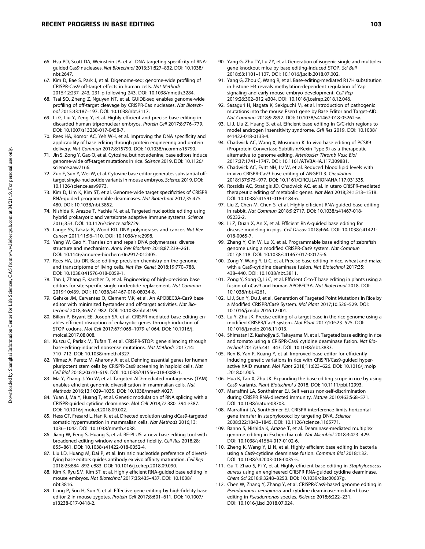- 66. Hsu PD, Scott DA, Weinstein JA, et al. DNA targeting specificity of RNAguided Cas9 nucleases. Nat Biotechnol 2013;31:827–832. DOI: 10.1038/ nbt.2647.
- 67. Kim D, Bae S, Park J, et al. Digenome-seq: genome-wide profiling of CRISPR-Cas9 off-target effects in human cells. Nat Methods 2015;12:237–243, 231 p following 243. DOI: 10.1038/nmeth.3284.
- 68. Tsai SQ, Zheng Z, Nguyen NT, et al. GUIDE-seq enables genome-wide profiling of off-target cleavage by CRISPR-Cas nucleases. Nat Biotechnol 2015;33:187–197. DOI: 10.1038/nbt.3117.
- 69. Li G, Liu Y, Zeng Y, et al. Highly efficient and precise base editing in discarded human tripronuclear embryos. Protein Cell 2017;8:776–779. DOI: 10.1007/s13238-017-0458-7.
- 70. Rees HA, Komor AC, Yeh WH, et al. Improving the DNA specificity and applicability of base editing through protein engineering and protein delivery. Nat Commun 2017;8:15790. DOI: 10.1038/ncomms15790.
- 71. Jin S, Zong Y, Gao Q, et al. Cytosine, but not adenine, base editors induce genome-wide off-target mutations in rice. Science 2019. DOI: 10.1126/ science.aaw7166.
- 72. Zuo E, Sun Y, Wei W, et al. Cytosine base editor generates substantial offtarget single-nucleotide variants in mouse embryos. Science 2019. DOI: 10.1126/science.aav9973.
- 73. Kim D, Lim K, Kim ST, et al. Genome-wide target specificities of CRISPR RNA-guided programmable deaminases. Nat Biotechnol 2017;35:475– 480. DOI: 10.1038/nbt.3852.
- 74. Nishida K, Arazoe T, Yachie N, et al. Targeted nucleotide editing using hybrid prokaryotic and vertebrate adaptive immune systems. Science 2016;353. DOI: 10.1126/science.aaf8729.
- 75. Lange SS, Takata K, Wood RD. DNA polymerases and cancer. Nat Rev Cancer 2011;11:96–110. DOI: 10.1038/nrc2998.
- 76. Yang W, Gao Y. Translesion and repair DNA polymerases: diverse structure and mechanism. Annu Rev Biochem 2018;87:239–261. DOI: 10.1146/annurev-biochem-062917-012405.
- 77. Rees HA, Liu DR. Base editing: precision chemistry on the genome and transcriptome of living cells. Nat Rev Genet 2018;19:770–788. DOI: 10.1038/s41576-018-0059-1.
- 78. Tan J, Zhang F, Karcher D, et al. Engineering of high-precision base editors for site-specific single nucleotide replacement. Nat Commun 2019;10:439. DOI: 10.1038/s41467-018-08034-8.
- 79. Gehrke JM, Cervantes O, Clement MK, et al. An APOBEC3A-Cas9 base editor with minimized bystander and off-target activities. Nat Biotechnol 2018;36:977–982. DOI: 10.1038/nbt.4199.
- 80. Billon P, Bryant EE, Joseph SA, et al. CRISPR-mediated base editing enables efficient disruption of eukaryotic genes through induction of STOP codons. Mol Cell 2017;67:1068–1079 e1064. DOI: 10.1016/j. molcel.2017.08.008.
- 81. Kuscu C, Parlak M, Tufan T, et al. CRISPR-STOP: gene silencing through base-editing-induced nonsense mutations. Nat Methods 2017;14: 710–712. DOI: 10.1038/nmeth.4327.
- 82. Yilmaz A, Peretz M, Aharony A, et al. Defining essential genes for human pluripotent stem cells by CRISPR-Cas9 screening in haploid cells. Nat Cell Biol 2018;20:610–619. DOI: 10.1038/s41556-018-0088-1.
- 83. Ma Y, Zhang J, Yin W, et al. Targeted AID-mediated mutagenesis (TAM) enables efficient genomic diversification in mammalian cells. Nat Methods 2016;13:1029–1035. DOI: 10.1038/nmeth.4027.
- 84. Yuan J, Ma Y, Huang T, et al. Genetic modulation of RNA splicing with a CRISPR-guided cytidine deaminase. Mol Cell 2018;72:380–394 e387. DOI: 10.1016/j.molcel.2018.09.002.
- 85. Hess GT, Fresard L, Han K, et al. Directed evolution using dCas9-targeted somatic hypermutation in mammalian cells. Nat Methods 2016;13: 1036–1042. DOI: 10.1038/nmeth.4038.
- 86. Jiang W, Feng S, Huang S, et al. BE-PLUS: a new base editing tool with broadened editing window and enhanced fidelity. Cell Res 2018;28: 855–861. DOI: 10.1038/s41422-018-0052-4.
- 87. Liu LD, Huang M, Dai P, et al. Intrinsic nucleotide preference of diversifying base editors guides antibody ex vivo affinity maturation. Cell Rep 2018;25:884–892 e883. DOI: 10.1016/j.celrep.2018.09.090.
- 88. Kim K, Ryu SM, Kim ST, et al. Highly efficient RNA-guided base editing in mouse embryos. Nat Biotechnol 2017;35:435–437. DOI: 10.1038/ nbt.3816.
- 89. Liang P, Sun H, Sun Y, et al. Effective gene editing by high-fidelity base editor 2 in mouse zygotes. Protein Cell 2017;8:601–611. DOI: 10.1007/ s13238-017-0418-2.
- 90. Yang G, Zhu TY, Lu ZY, et al. Generation of isogenic single and multiplex gene knockout mice by base editing-induced STOP. Sci Bull 2018;63:1101–1107. DOI: 10.1016/j.scib.2018.07.002.
- 91. Yang G, Zhou C, Wang R, et al. Base-editing-mediated R17H substitution in histone H3 reveals methylation-dependent regulation of Yap signaling and early mouse embryo development. Cell Rep 2019;26:302–312 e304. DOI: 10.1016/j.celrep.2018.12.046.
- 92. Sasaguri H, Nagata K, Sekiguchi M, et al. Introduction of pathogenic mutations into the mouse Psen1 gene by Base Editor and Target-AID. Nat Commun 2018;9:2892. DOI: 10.1038/s41467-018-05262-w.
- 93. Li J, Liu Z, Huang S, et al. Efficient base editing in G/C-rich regions to model androgen insensitivity syndrome. Cell Res 2019. DOI: 10.1038/ s41422-018-0133-4.
- 94. Chadwick AC, Wang X, Musunuru K. In vivo base editing of PCSK9 (Proprotein Convertase Subtilisin/Kexin Type 9) as a therapeutic alternative to genome editing. Arterioscler Thromb Vasc Biol 2017;37:1741–1747. DOI: 10.1161/ATVBAHA.117.309881.
- 95. Chadwick AC, Evitt NH, Lv W, et al. Reduced blood lipid levels with in vivo CRISPR-Cas9 base editing of ANGPTL3. Circulation 2018;137:975–977. DOI: 10.1161/CIRCULATIONAHA.117.031335.
- 96. Rossidis AC, Stratigis JD, Chadwick AC, et al. In utero CRISPR-mediated therapeutic editing of metabolic genes. Nat Med 2018;24:1513–1518. DOI: 10.1038/s41591-018-0184-6.
- 97. Liu Z, Chen M, Chen S, et al. Highly efficient RNA-guided base editing in rabbit. Nat Commun 2018;9:2717. DOI: 10.1038/s41467-018- 05232-2.
- 98. Li Z, Duan X, An X, et al. Efficient RNA-guided base editing for disease modeling in pigs. Cell Discov 2018;4:64. DOI: 10.1038/s41421- 018-0065-7.
- 99. Zhang Y, Qin W, Lu X, et al. Programmable base editing of zebrafish genome using a modified CRISPR-Cas9 system. Nat Commun 2017;8:118. DOI: 10.1038/s41467-017-00175-6.
- 100. Zong Y, Wang Y, Li C, et al. Precise base editing in rice, wheat and maize with a Cas9-cytidine deaminase fusion. Nat Biotechnol 2017;35: 438–440. DOI: 10.1038/nbt.3811.
- 101. Zong Y, Song Q, Li C, et al. Efficient C-to-T base editing in plants using a fusion of nCas9 and human APOBEC3A. Nat Biotechnol 2018. DOI: 10.1038/nbt.4261.
- 102. Li J, Sun Y, Du J, et al. Generation of Targeted Point Mutations in Rice by a Modified CRISPR/Cas9 System. Mol Plant 2017;10:526–529. DOI: 10.1016/j.molp.2016.12.001.
- 103. Lu Y, Zhu JK. Precise editing of a target base in the rice genome using a modified CRISPR/Cas9 system. Mol Plant 2017;10:523–525. DOI: 10.1016/j.molp.2016.11.013.
- 104. Shimatani Z, Kashojiya S, Takayama M, et al. Targeted base editing in rice and tomato using a CRISPR-Cas9 cytidine deaminase fusion. Nat Biotechnol 2017;35:441–443. DOI: 10.1038/nbt.3833.
- 105. Ren B, Yan F, Kuang Y, et al. Improved base editor for efficiently inducing genetic variations in rice with CRISPR/Cas9-guided hyperactive hAID mutant. Mol Plant 2018;11:623–626. DOI: 10.1016/j.molp .2018.01.005.
- 106. Hua K, Tao X, Zhu JK. Expanding the base editing scope in rice by using Cas9 variants. Plant Biotechnol J 2018. DOI: 10.1111/pbi.12993.
- 107. Marraffini LA, Sontheimer EJ. Self versus non-self-discrimination during CRISPR RNA-directed immunity. Nature 2010;463:568–571. DOI: 10.1038/nature08703.
- 108. Marraffini LA, Sontheimer EJ. CRISPR interference limits horizontal gene transfer in staphylococci by targeting DNA. Science 2008;322:1843–1845. DOI: 10.1126/science.1165771.
- 109. Banno S, Nishida K, Arazoe T, et al. Deaminase-mediated multiplex genome editing in Escherichia coli. Nat Microbiol 2018;3:423–429. DOI: 10.1038/s41564-017-0102-6.
- 110. Zheng K, Wang Y, Li N, et al. Highly efficient base editing in bacteria using a Cas9-cytidine deaminase fusion. Commun Biol 2018;1:32. DOI: 10.1038/s42003-018-0035-5.
- 111. Gu T, Zhao S, Pi Y, et al. Highly efficient base editing in Staphylococcus aureus using an engineered CRISPR RNA-guided cytidine deaminase. Chem Sci 2018;9:3248–3253. DOI: 10.1039/c8sc00637g.
- 112. Chen W, Zhang Y, Zhang Y, et al. CRISPR/Cas9-based genome editing in Pseudomonas aeruginosa and cytidine deaminase-mediated base editing in Pseudomonas species. iScience 2018;6:222–231. DOI: 10.1016/j.isci.2018.07.024.